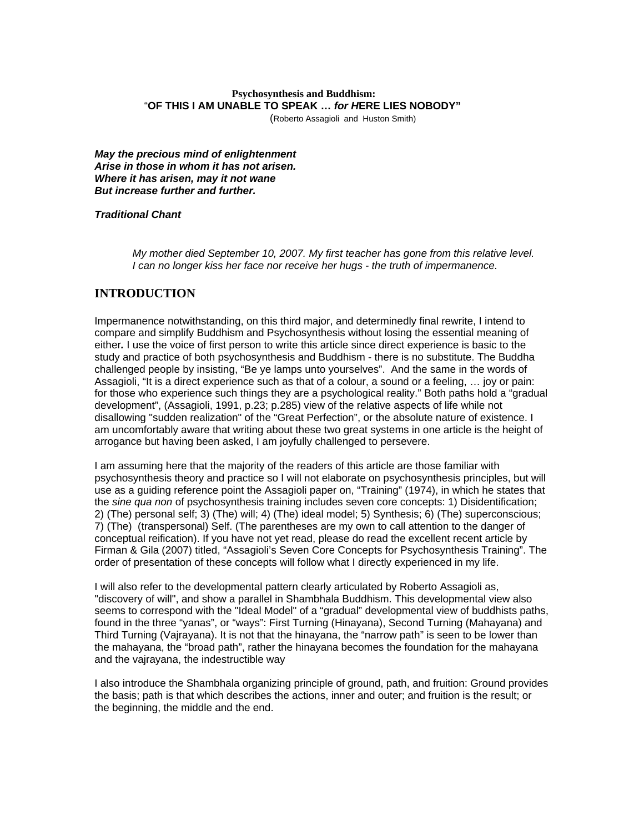# **Psychosynthesis and Buddhism:** "**OF THIS I AM UNABLE TO SPEAK …** *for H***ERE LIES NOBODY"**

(Roberto Assagioli and Huston Smith)

*May the precious mind of enlightenment Arise in those in whom it has not arisen. Where it has arisen, may it not wane But increase further and further.* 

### *Traditional Chant*

*My mother died September 10, 2007. My first teacher has gone from this relative level. I can no longer kiss her face nor receive her hugs - the truth of impermanence.* 

# **INTRODUCTION**

Impermanence notwithstanding, on this third major, and determinedly final rewrite, I intend to compare and simplify Buddhism and Psychosynthesis without losing the essential meaning of either*.* I use the voice of first person to write this article since direct experience is basic to the study and practice of both psychosynthesis and Buddhism - there is no substitute. The Buddha challenged people by insisting, "Be ye lamps unto yourselves". And the same in the words of Assagioli, "It is a direct experience such as that of a colour, a sound or a feeling, … joy or pain: for those who experience such things they are a psychological reality." Both paths hold a "gradual development", (Assagioli, 1991, p.23; p.285) view of the relative aspects of life while not disallowing "sudden realization" of the "Great Perfection", or the absolute nature of existence. I am uncomfortably aware that writing about these two great systems in one article is the height of arrogance but having been asked, I am joyfully challenged to persevere.

I am assuming here that the majority of the readers of this article are those familiar with psychosynthesis theory and practice so I will not elaborate on psychosynthesis principles, but will use as a guiding reference point the Assagioli paper on, "Training" (1974), in which he states that the *sine qua non* of psychosynthesis training includes seven core concepts: 1) Disidentification; 2) (The) personal self; 3) (The) will; 4) (The) ideal model; 5) Synthesis; 6) (The) superconscious; 7) (The) (transpersonal) Self. (The parentheses are my own to call attention to the danger of conceptual reification). If you have not yet read, please do read the excellent recent article by Firman & Gila (2007) titled, "Assagioli's Seven Core Concepts for Psychosynthesis Training". The order of presentation of these concepts will follow what I directly experienced in my life.

I will also refer to the developmental pattern clearly articulated by Roberto Assagioli as, "discovery of will", and show a parallel in Shambhala Buddhism. This developmental view also seems to correspond with the "Ideal Model" of a "gradual" developmental view of buddhists paths, found in the three "yanas", or "ways": First Turning (Hinayana), Second Turning (Mahayana) and Third Turning (Vajrayana). It is not that the hinayana, the "narrow path" is seen to be lower than the mahayana, the "broad path", rather the hinayana becomes the foundation for the mahayana and the vajrayana, the indestructible way

I also introduce the Shambhala organizing principle of ground, path, and fruition: Ground provides the basis; path is that which describes the actions, inner and outer; and fruition is the result; or the beginning, the middle and the end.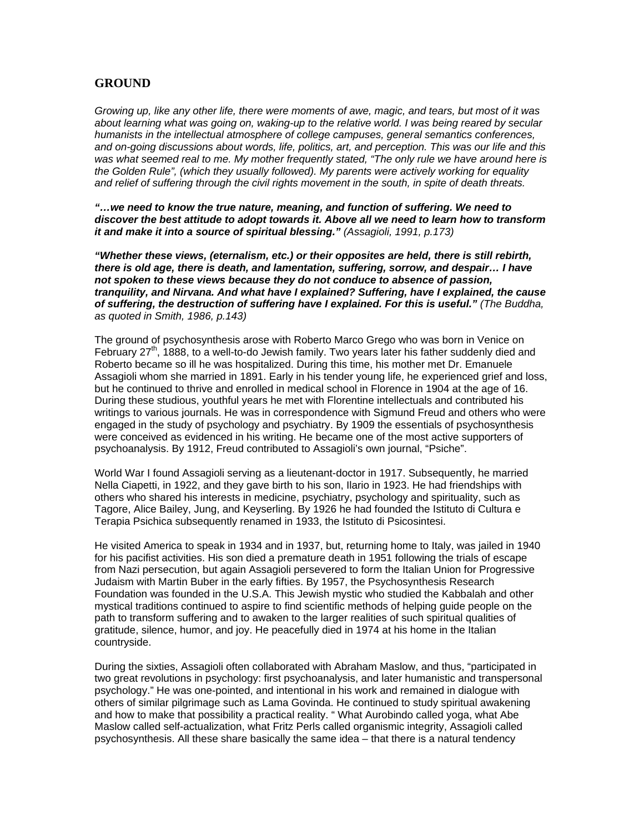# **GROUND**

*Growing up, like any other life, there were moments of awe, magic, and tears, but most of it was*  about learning what was going on, waking-up to the relative world. I was being reared by secular *humanists in the intellectual atmosphere of college campuses, general semantics conferences, and on-going discussions about words, life, politics, art, and perception. This was our life and this was what seemed real to me. My mother frequently stated, "The only rule we have around here is the Golden Rule", (which they usually followed). My parents were actively working for equality and relief of suffering through the civil rights movement in the south, in spite of death threats.* 

*"…we need to know the true nature, meaning, and function of suffering. We need to discover the best attitude to adopt towards it. Above all we need to learn how to transform it and make it into a source of spiritual blessing." (Assagioli, 1991, p.173)* 

*"Whether these views, (eternalism, etc.) or their opposites are held, there is still rebirth, there is old age, there is death, and lamentation, suffering, sorrow, and despair… I have not spoken to these views because they do not conduce to absence of passion, tranquility, and Nirvana. And what have I explained? Suffering, have I explained, the cause of suffering, the destruction of suffering have I explained. For this is useful." (The Buddha, as quoted in Smith, 1986, p.143)* 

The ground of psychosynthesis arose with Roberto Marco Grego who was born in Venice on February  $27<sup>th</sup>$ , 1888, to a well-to-do Jewish family. Two years later his father suddenly died and Roberto became so ill he was hospitalized. During this time, his mother met Dr. Emanuele Assagioli whom she married in 1891. Early in his tender young life, he experienced grief and loss, but he continued to thrive and enrolled in medical school in Florence in 1904 at the age of 16. During these studious, youthful years he met with Florentine intellectuals and contributed his writings to various journals. He was in correspondence with Sigmund Freud and others who were engaged in the study of psychology and psychiatry. By 1909 the essentials of psychosynthesis were conceived as evidenced in his writing. He became one of the most active supporters of psychoanalysis. By 1912, Freud contributed to Assagioli's own journal, "Psiche".

World War I found Assagioli serving as a lieutenant-doctor in 1917. Subsequently, he married Nella Ciapetti, in 1922, and they gave birth to his son, Ilario in 1923. He had friendships with others who shared his interests in medicine, psychiatry, psychology and spirituality, such as Tagore, Alice Bailey, Jung, and Keyserling. By 1926 he had founded the Istituto di Cultura e Terapia Psichica subsequently renamed in 1933, the Istituto di Psicosintesi.

He visited America to speak in 1934 and in 1937, but, returning home to Italy, was jailed in 1940 for his pacifist activities. His son died a premature death in 1951 following the trials of escape from Nazi persecution, but again Assagioli persevered to form the Italian Union for Progressive Judaism with Martin Buber in the early fifties. By 1957, the Psychosynthesis Research Foundation was founded in the U.S.A. This Jewish mystic who studied the Kabbalah and other mystical traditions continued to aspire to find scientific methods of helping guide people on the path to transform suffering and to awaken to the larger realities of such spiritual qualities of gratitude, silence, humor, and joy. He peacefully died in 1974 at his home in the Italian countryside.

During the sixties, Assagioli often collaborated with Abraham Maslow, and thus, "participated in two great revolutions in psychology: first psychoanalysis, and later humanistic and transpersonal psychology." He was one-pointed, and intentional in his work and remained in dialogue with others of similar pilgrimage such as Lama Govinda. He continued to study spiritual awakening and how to make that possibility a practical reality. " What Aurobindo called yoga, what Abe Maslow called self-actualization, what Fritz Perls called organismic integrity, Assagioli called psychosynthesis. All these share basically the same idea – that there is a natural tendency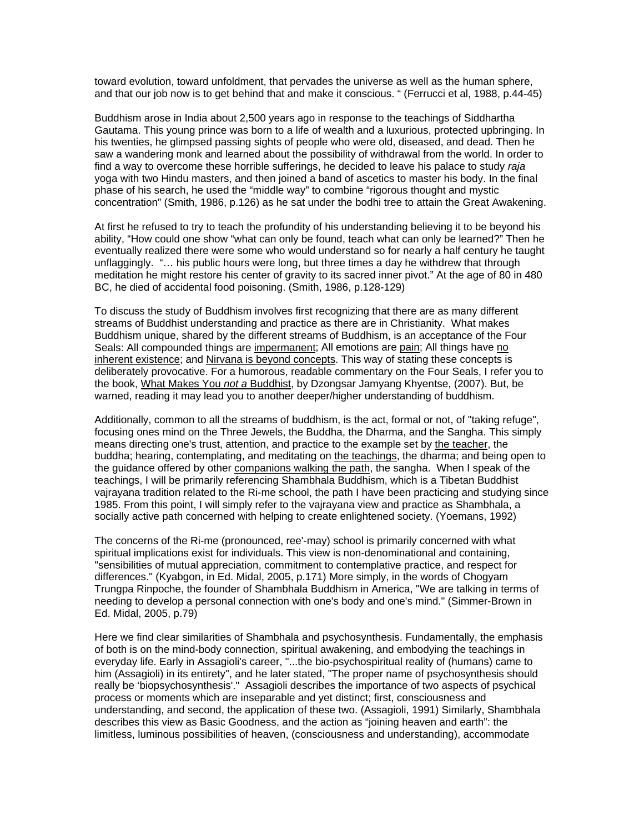toward evolution, toward unfoldment, that pervades the universe as well as the human sphere, and that our job now is to get behind that and make it conscious. " (Ferrucci et al, 1988, p.44-45)

Buddhism arose in India about 2,500 years ago in response to the teachings of Siddhartha Gautama. This young prince was born to a life of wealth and a luxurious, protected upbringing. In his twenties, he glimpsed passing sights of people who were old, diseased, and dead. Then he saw a wandering monk and learned about the possibility of withdrawal from the world. In order to find a way to overcome these horrible sufferings, he decided to leave his palace to study *raja*  yoga with two Hindu masters, and then joined a band of ascetics to master his body. In the final phase of his search, he used the "middle way" to combine "rigorous thought and mystic concentration" (Smith, 1986, p.126) as he sat under the bodhi tree to attain the Great Awakening.

At first he refused to try to teach the profundity of his understanding believing it to be beyond his ability, "How could one show "what can only be found, teach what can only be learned?" Then he eventually realized there were some who would understand so for nearly a half century he taught unflaggingly. "… his public hours were long, but three times a day he withdrew that through meditation he might restore his center of gravity to its sacred inner pivot." At the age of 80 in 480 BC, he died of accidental food poisoning. (Smith, 1986, p.128-129)

To discuss the study of Buddhism involves first recognizing that there are as many different streams of Buddhist understanding and practice as there are in Christianity. What makes Buddhism unique, shared by the different streams of Buddhism, is an acceptance of the Four Seals: All compounded things are impermanent; All emotions are pain; All things have no inherent existence; and Nirvana is beyond concepts. This way of stating these concepts is deliberately provocative. For a humorous, readable commentary on the Four Seals, I refer you to the book, What Makes You *not a* Buddhist, by Dzongsar Jamyang Khyentse, (2007). But, be warned, reading it may lead you to another deeper/higher understanding of buddhism.

Additionally, common to all the streams of buddhism, is the act, formal or not, of "taking refuge", focusing ones mind on the Three Jewels, the Buddha, the Dharma, and the Sangha. This simply means directing one's trust, attention, and practice to the example set by the teacher, the buddha; hearing, contemplating, and meditating on the teachings, the dharma; and being open to the guidance offered by other companions walking the path, the sangha. When I speak of the teachings, I will be primarily referencing Shambhala Buddhism, which is a Tibetan Buddhist vajrayana tradition related to the Ri-me school, the path I have been practicing and studying since 1985. From this point, I will simply refer to the vajrayana view and practice as Shambhala, a socially active path concerned with helping to create enlightened society. (Yoemans, 1992)

The concerns of the Ri-me (pronounced, ree'-may) school is primarily concerned with what spiritual implications exist for individuals. This view is non-denominational and containing, "sensibilities of mutual appreciation, commitment to contemplative practice, and respect for differences." (Kyabgon, in Ed. Midal, 2005, p.171) More simply, in the words of Chogyam Trungpa Rinpoche, the founder of Shambhala Buddhism in America, "We are talking in terms of needing to develop a personal connection with one's body and one's mind." (Simmer-Brown in Ed. Midal, 2005, p.79)

Here we find clear similarities of Shambhala and psychosynthesis. Fundamentally, the emphasis of both is on the mind-body connection, spiritual awakening, and embodying the teachings in everyday life. Early in Assagioli's career, "...the bio-psychospiritual reality of (humans) came to him (Assagioli) in its entirety", and he later stated, "The proper name of psychosynthesis should really be 'biopsychosynthesis'." Assagioli describes the importance of two aspects of psychical process or moments which are inseparable and yet distinct; first, consciousness and understanding, and second, the application of these two. (Assagioli, 1991) Similarly, Shambhala describes this view as Basic Goodness, and the action as "joining heaven and earth": the limitless, luminous possibilities of heaven, (consciousness and understanding), accommodate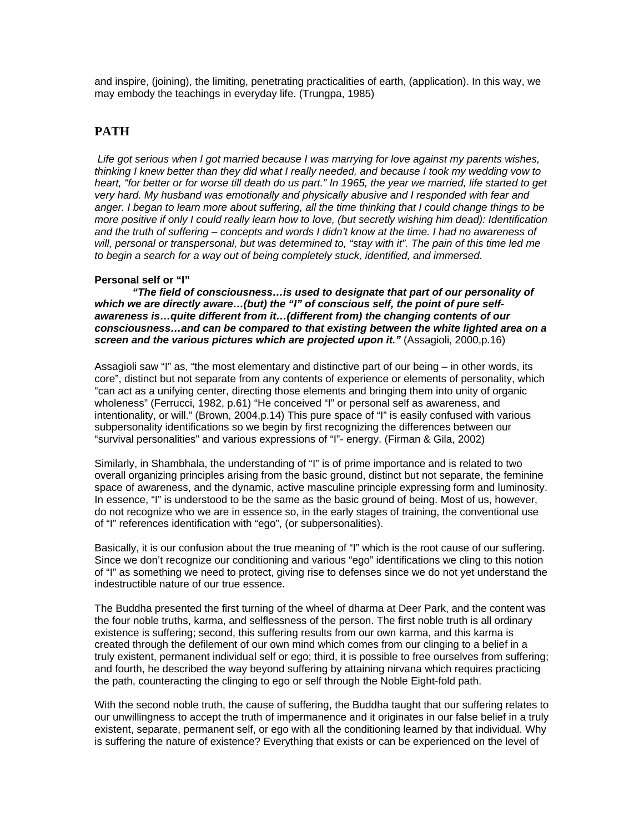and inspire, (joining), the limiting, penetrating practicalities of earth, (application). In this way, we may embody the teachings in everyday life. (Trungpa, 1985)

# **PATH**

*Life got serious when I got married because I was marrying for love against my parents wishes, thinking I knew better than they did what I really needed, and because I took my wedding vow to heart, "for better or for worse till death do us part." In 1965, the year we married, life started to get very hard. My husband was emotionally and physically abusive and I responded with fear and anger. I began to learn more about suffering, all the time thinking that I could change things to be more positive if only I could really learn how to love, (but secretly wishing him dead): Identification and the truth of suffering – concepts and words I didn't know at the time. I had no awareness of will, personal or transpersonal, but was determined to, "stay with it". The pain of this time led me to begin a search for a way out of being completely stuck, identified, and immersed.* 

## **Personal self or "I"**

*"The field of consciousness…is used to designate that part of our personality of which we are directly aware…(but) the "I" of conscious self, the point of pure selfawareness is…quite different from it…(different from) the changing contents of our consciousness…and can be compared to that existing between the white lighted area on a*  screen and the various pictures which are projected upon it." (Assagioli, 2000,p.16)

Assagioli saw "I" as, "the most elementary and distinctive part of our being – in other words, its core", distinct but not separate from any contents of experience or elements of personality, which "can act as a unifying center, directing those elements and bringing them into unity of organic wholeness" (Ferrucci, 1982, p.61) "He conceived "I" or personal self as awareness, and intentionality, or will." (Brown, 2004,p.14) This pure space of "I" is easily confused with various subpersonality identifications so we begin by first recognizing the differences between our "survival personalities" and various expressions of "I"- energy. (Firman & Gila, 2002)

Similarly, in Shambhala, the understanding of "I" is of prime importance and is related to two overall organizing principles arising from the basic ground, distinct but not separate, the feminine space of awareness, and the dynamic, active masculine principle expressing form and luminosity. In essence, "I" is understood to be the same as the basic ground of being. Most of us, however, do not recognize who we are in essence so, in the early stages of training, the conventional use of "I" references identification with "ego", (or subpersonalities).

Basically, it is our confusion about the true meaning of "I" which is the root cause of our suffering. Since we don't recognize our conditioning and various "ego" identifications we cling to this notion of "I" as something we need to protect, giving rise to defenses since we do not yet understand the indestructible nature of our true essence.

The Buddha presented the first turning of the wheel of dharma at Deer Park, and the content was the four noble truths, karma, and selflessness of the person. The first noble truth is all ordinary existence is suffering; second, this suffering results from our own karma, and this karma is created through the defilement of our own mind which comes from our clinging to a belief in a truly existent, permanent individual self or ego; third, it is possible to free ourselves from suffering; and fourth, he described the way beyond suffering by attaining nirvana which requires practicing the path, counteracting the clinging to ego or self through the Noble Eight-fold path.

With the second noble truth, the cause of suffering, the Buddha taught that our suffering relates to our unwillingness to accept the truth of impermanence and it originates in our false belief in a truly existent, separate, permanent self, or ego with all the conditioning learned by that individual. Why is suffering the nature of existence? Everything that exists or can be experienced on the level of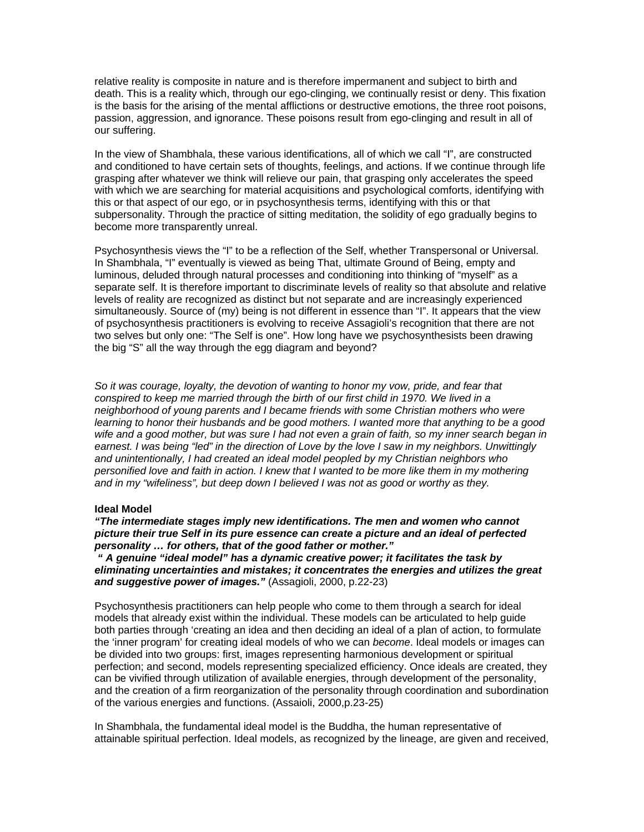relative reality is composite in nature and is therefore impermanent and subject to birth and death. This is a reality which, through our ego-clinging, we continually resist or deny. This fixation is the basis for the arising of the mental afflictions or destructive emotions, the three root poisons, passion, aggression, and ignorance. These poisons result from ego-clinging and result in all of our suffering.

In the view of Shambhala, these various identifications, all of which we call "I", are constructed and conditioned to have certain sets of thoughts, feelings, and actions. If we continue through life grasping after whatever we think will relieve our pain, that grasping only accelerates the speed with which we are searching for material acquisitions and psychological comforts, identifying with this or that aspect of our ego, or in psychosynthesis terms, identifying with this or that subpersonality. Through the practice of sitting meditation, the solidity of ego gradually begins to become more transparently unreal.

Psychosynthesis views the "I" to be a reflection of the Self, whether Transpersonal or Universal. In Shambhala, "I" eventually is viewed as being That, ultimate Ground of Being, empty and luminous, deluded through natural processes and conditioning into thinking of "myself" as a separate self. It is therefore important to discriminate levels of reality so that absolute and relative levels of reality are recognized as distinct but not separate and are increasingly experienced simultaneously. Source of (my) being is not different in essence than "I". It appears that the view of psychosynthesis practitioners is evolving to receive Assagioli's recognition that there are not two selves but only one: "The Self is one". How long have we psychosynthesists been drawing the big "S" all the way through the egg diagram and beyond?

*So it was courage, loyalty, the devotion of wanting to honor my vow, pride, and fear that conspired to keep me married through the birth of our first child in 1970. We lived in a neighborhood of young parents and I became friends with some Christian mothers who were learning to honor their husbands and be good mothers. I wanted more that anything to be a good wife and a good mother, but was sure I had not even a grain of faith, so my inner search began in earnest. I was being "led" in the direction of Love by the love I saw in my neighbors. Unwittingly and unintentionally, I had created an ideal model peopled by my Christian neighbors who personified love and faith in action. I knew that I wanted to be more like them in my mothering and in my "wifeliness", but deep down I believed I was not as good or worthy as they.* 

#### **Ideal Model**

#### *"The intermediate stages imply new identifications. The men and women who cannot picture their true Self in its pure essence can create a picture and an ideal of perfected personality … for others, that of the good father or mother."*

 *" A genuine "ideal model" has a dynamic creative power; it facilitates the task by eliminating uncertainties and mistakes; it concentrates the energies and utilizes the great and suggestive power of images."* (Assagioli, 2000, p.22-23)

Psychosynthesis practitioners can help people who come to them through a search for ideal models that already exist within the individual. These models can be articulated to help guide both parties through 'creating an idea and then deciding an ideal of a plan of action, to formulate the 'inner program' for creating ideal models of who we can *become*. Ideal models or images can be divided into two groups: first, images representing harmonious development or spiritual perfection; and second, models representing specialized efficiency. Once ideals are created, they can be vivified through utilization of available energies, through development of the personality, and the creation of a firm reorganization of the personality through coordination and subordination of the various energies and functions. (Assaioli, 2000,p.23-25)

In Shambhala, the fundamental ideal model is the Buddha, the human representative of attainable spiritual perfection. Ideal models, as recognized by the lineage, are given and received,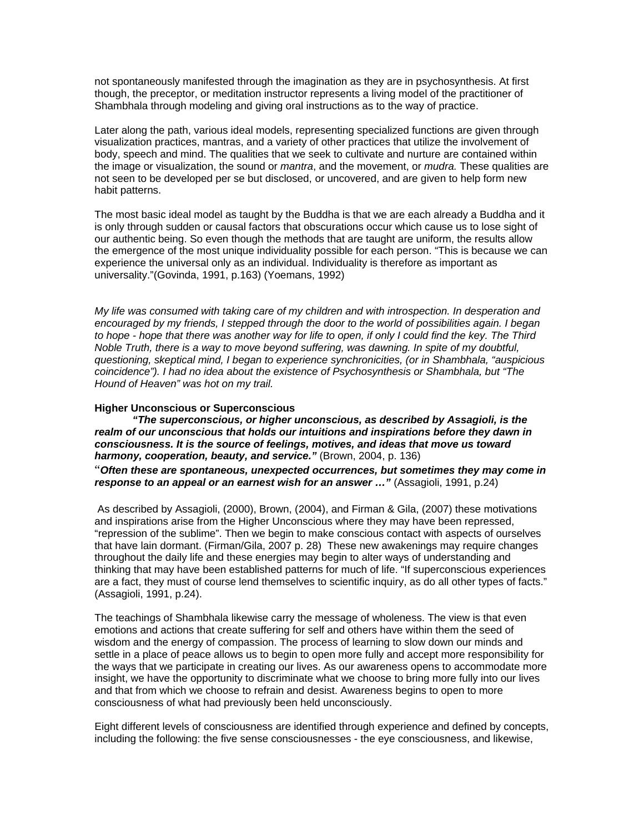not spontaneously manifested through the imagination as they are in psychosynthesis. At first though, the preceptor, or meditation instructor represents a living model of the practitioner of Shambhala through modeling and giving oral instructions as to the way of practice.

Later along the path, various ideal models, representing specialized functions are given through visualization practices, mantras, and a variety of other practices that utilize the involvement of body, speech and mind. The qualities that we seek to cultivate and nurture are contained within the image or visualization, the sound or *mantra*, and the movement, or *mudra.* These qualities are not seen to be developed per se but disclosed, or uncovered, and are given to help form new habit patterns.

The most basic ideal model as taught by the Buddha is that we are each already a Buddha and it is only through sudden or causal factors that obscurations occur which cause us to lose sight of our authentic being. So even though the methods that are taught are uniform, the results allow the emergence of the most unique individuality possible for each person. "This is because we can experience the universal only as an individual. Individuality is therefore as important as universality."(Govinda, 1991, p.163) (Yoemans, 1992)

*My life was consumed with taking care of my children and with introspection. In desperation and encouraged by my friends, I stepped through the door to the world of possibilities again. I began to hope - hope that there was another way for life to open, if only I could find the key. The Third Noble Truth, there is a way to move beyond suffering, was dawning. In spite of my doubtful, questioning, skeptical mind, I began to experience synchronicities, (or in Shambhala, "auspicious coincidence"). I had no idea about the existence of Psychosynthesis or Shambhala, but "The Hound of Heaven" was hot on my trail.* 

#### **Higher Unconscious or Superconscious**

*"The superconscious, or higher unconscious, as described by Assagioli, is the realm of our unconscious that holds our intuitions and inspirations before they dawn in consciousness. It is the source of feelings, motives, and ideas that move us toward harmony, cooperation, beauty, and service."* (Brown, 2004, p. 136) "*Often these are spontaneous, unexpected occurrences, but sometimes they may come in*  **response to an appeal or an earnest wish for an answer ..."** (Assagioli, 1991, p.24)

 As described by Assagioli, (2000), Brown, (2004), and Firman & Gila, (2007) these motivations and inspirations arise from the Higher Unconscious where they may have been repressed, "repression of the sublime". Then we begin to make conscious contact with aspects of ourselves that have lain dormant. (Firman/Gila, 2007 p. 28) These new awakenings may require changes throughout the daily life and these energies may begin to alter ways of understanding and thinking that may have been established patterns for much of life. "If superconscious experiences are a fact, they must of course lend themselves to scientific inquiry, as do all other types of facts." (Assagioli, 1991, p.24).

The teachings of Shambhala likewise carry the message of wholeness. The view is that even emotions and actions that create suffering for self and others have within them the seed of wisdom and the energy of compassion. The process of learning to slow down our minds and settle in a place of peace allows us to begin to open more fully and accept more responsibility for the ways that we participate in creating our lives. As our awareness opens to accommodate more insight, we have the opportunity to discriminate what we choose to bring more fully into our lives and that from which we choose to refrain and desist. Awareness begins to open to more consciousness of what had previously been held unconsciously.

Eight different levels of consciousness are identified through experience and defined by concepts, including the following: the five sense consciousnesses - the eye consciousness, and likewise,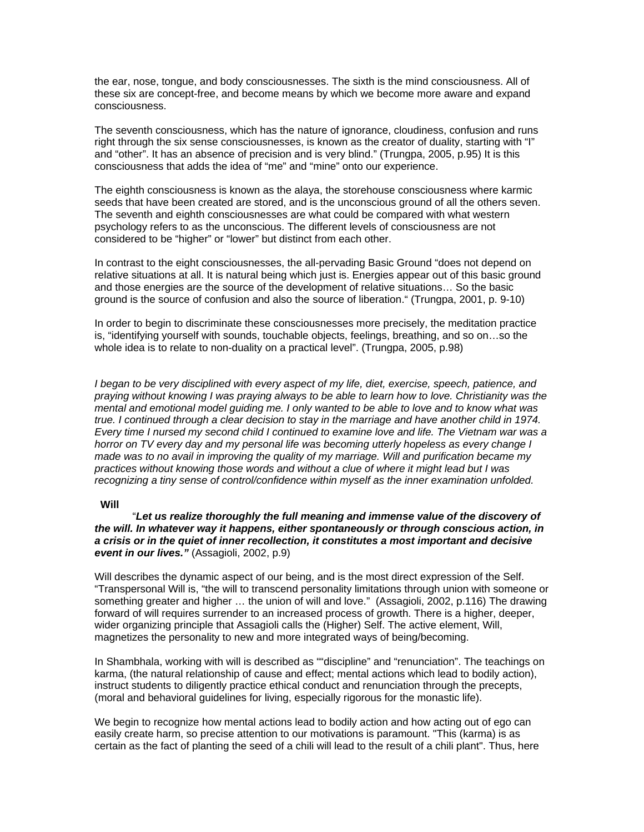the ear, nose, tongue, and body consciousnesses. The sixth is the mind consciousness. All of these six are concept-free, and become means by which we become more aware and expand consciousness.

The seventh consciousness, which has the nature of ignorance, cloudiness, confusion and runs right through the six sense consciousnesses, is known as the creator of duality, starting with "I" and "other". It has an absence of precision and is very blind." (Trungpa, 2005, p.95) It is this consciousness that adds the idea of "me" and "mine" onto our experience.

The eighth consciousness is known as the alaya, the storehouse consciousness where karmic seeds that have been created are stored, and is the unconscious ground of all the others seven. The seventh and eighth consciousnesses are what could be compared with what western psychology refers to as the unconscious. The different levels of consciousness are not considered to be "higher" or "lower" but distinct from each other.

In contrast to the eight consciousnesses, the all-pervading Basic Ground "does not depend on relative situations at all. It is natural being which just is. Energies appear out of this basic ground and those energies are the source of the development of relative situations… So the basic ground is the source of confusion and also the source of liberation." (Trungpa, 2001, p. 9-10)

In order to begin to discriminate these consciousnesses more precisely, the meditation practice is, "identifying yourself with sounds, touchable objects, feelings, breathing, and so on…so the whole idea is to relate to non-duality on a practical level". (Trungpa, 2005, p.98)

*I* began to be very disciplined with every aspect of my life, diet, exercise, speech, patience, and *praying without knowing I was praying always to be able to learn how to love. Christianity was the mental and emotional model guiding me. I only wanted to be able to love and to know what was true. I continued through a clear decision to stay in the marriage and have another child in 1974. Every time I nursed my second child I continued to examine love and life. The Vietnam war was a horror on TV every day and my personal life was becoming utterly hopeless as every change I made was to no avail in improving the quality of my marriage. Will and purification became my practices without knowing those words and without a clue of where it might lead but I was recognizing a tiny sense of control/confidence within myself as the inner examination unfolded.* 

### **Will**

"*Let us realize thoroughly the full meaning and immense value of the discovery of the will. In whatever way it happens, either spontaneously or through conscious action, in a crisis or in the quiet of inner recollection, it constitutes a most important and decisive event in our lives."* (Assagioli, 2002, p.9)

Will describes the dynamic aspect of our being, and is the most direct expression of the Self. "Transpersonal Will is, "the will to transcend personality limitations through union with someone or something greater and higher … the union of will and love." (Assagioli, 2002, p.116) The drawing forward of will requires surrender to an increased process of growth. There is a higher, deeper, wider organizing principle that Assagioli calls the (Higher) Self. The active element, Will, magnetizes the personality to new and more integrated ways of being/becoming.

In Shambhala, working with will is described as ""discipline" and "renunciation". The teachings on karma, (the natural relationship of cause and effect; mental actions which lead to bodily action), instruct students to diligently practice ethical conduct and renunciation through the precepts, (moral and behavioral guidelines for living, especially rigorous for the monastic life).

We begin to recognize how mental actions lead to bodily action and how acting out of ego can easily create harm, so precise attention to our motivations is paramount. "This (karma) is as certain as the fact of planting the seed of a chili will lead to the result of a chili plant". Thus, here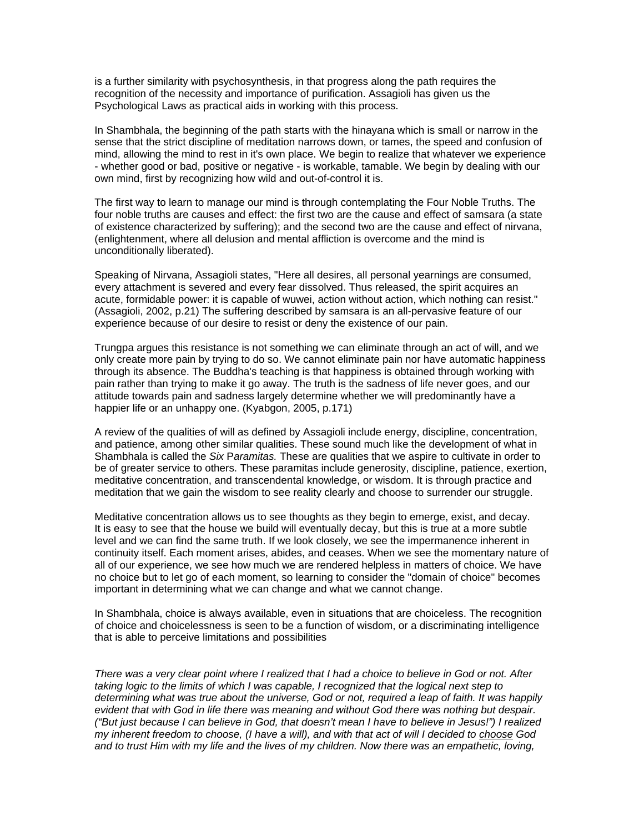is a further similarity with psychosynthesis, in that progress along the path requires the recognition of the necessity and importance of purification. Assagioli has given us the Psychological Laws as practical aids in working with this process.

In Shambhala, the beginning of the path starts with the hinayana which is small or narrow in the sense that the strict discipline of meditation narrows down, or tames, the speed and confusion of mind, allowing the mind to rest in it's own place. We begin to realize that whatever we experience - whether good or bad, positive or negative - is workable, tamable. We begin by dealing with our own mind, first by recognizing how wild and out-of-control it is.

The first way to learn to manage our mind is through contemplating the Four Noble Truths. The four noble truths are causes and effect: the first two are the cause and effect of samsara (a state of existence characterized by suffering); and the second two are the cause and effect of nirvana, (enlightenment, where all delusion and mental affliction is overcome and the mind is unconditionally liberated).

Speaking of Nirvana, Assagioli states, "Here all desires, all personal yearnings are consumed, every attachment is severed and every fear dissolved. Thus released, the spirit acquires an acute, formidable power: it is capable of wuwei, action without action, which nothing can resist." (Assagioli, 2002, p.21) The suffering described by samsara is an all-pervasive feature of our experience because of our desire to resist or deny the existence of our pain.

Trungpa argues this resistance is not something we can eliminate through an act of will, and we only create more pain by trying to do so. We cannot eliminate pain nor have automatic happiness through its absence. The Buddha's teaching is that happiness is obtained through working with pain rather than trying to make it go away. The truth is the sadness of life never goes, and our attitude towards pain and sadness largely determine whether we will predominantly have a happier life or an unhappy one. (Kyabgon, 2005, p.171)

A review of the qualities of will as defined by Assagioli include energy, discipline, concentration, and patience, among other similar qualities. These sound much like the development of what in Shambhala is called the *Six* P*aramitas.* These are qualities that we aspire to cultivate in order to be of greater service to others. These paramitas include generosity, discipline, patience, exertion, meditative concentration, and transcendental knowledge, or wisdom. It is through practice and meditation that we gain the wisdom to see reality clearly and choose to surrender our struggle.

Meditative concentration allows us to see thoughts as they begin to emerge, exist, and decay. It is easy to see that the house we build will eventually decay, but this is true at a more subtle level and we can find the same truth. If we look closely, we see the impermanence inherent in continuity itself. Each moment arises, abides, and ceases. When we see the momentary nature of all of our experience, we see how much we are rendered helpless in matters of choice. We have no choice but to let go of each moment, so learning to consider the "domain of choice" becomes important in determining what we can change and what we cannot change.

In Shambhala, choice is always available, even in situations that are choiceless. The recognition of choice and choicelessness is seen to be a function of wisdom, or a discriminating intelligence that is able to perceive limitations and possibilities

*There was a very clear point where I realized that I had a choice to believe in God or not. After taking logic to the limits of which I was capable, I recognized that the logical next step to determining what was true about the universe, God or not, required a leap of faith. It was happily evident that with God in life there was meaning and without God there was nothing but despair. ("But just because I can believe in God, that doesn't mean I have to believe in Jesus!") I realized my inherent freedom to choose, (I have a will), and with that act of will I decided to choose God and to trust Him with my life and the lives of my children. Now there was an empathetic, loving,*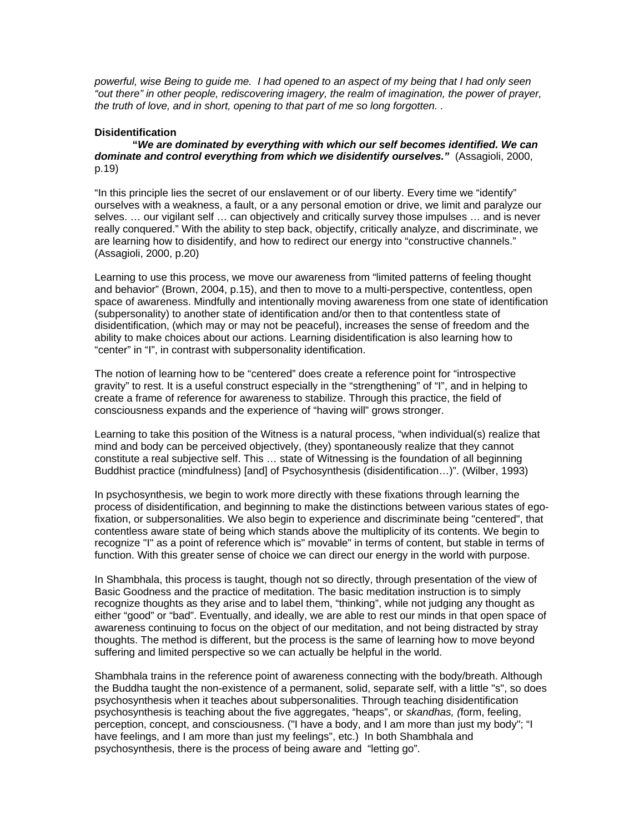*powerful, wise Being to guide me. I had opened to an aspect of my being that I had only seen "out there" in other people, rediscovering imagery, the realm of imagination, the power of prayer, the truth of love, and in short, opening to that part of me so long forgotten. .* 

### **Disidentification**

 **"***We are dominated by everything with which our self becomes identified. We can dominate and control everything from which we disidentify ourselves."* (Assagioli, 2000, p.19)

"In this principle lies the secret of our enslavement or of our liberty. Every time we "identify" ourselves with a weakness, a fault, or a any personal emotion or drive, we limit and paralyze our selves. … our vigilant self … can objectively and critically survey those impulses … and is never really conquered." With the ability to step back, objectify, critically analyze, and discriminate, we are learning how to disidentify, and how to redirect our energy into "constructive channels." (Assagioli, 2000, p.20)

Learning to use this process, we move our awareness from "limited patterns of feeling thought and behavior" (Brown, 2004, p.15), and then to move to a multi-perspective, contentless, open space of awareness. Mindfully and intentionally moving awareness from one state of identification (subpersonality) to another state of identification and/or then to that contentless state of disidentification, (which may or may not be peaceful), increases the sense of freedom and the ability to make choices about our actions. Learning disidentification is also learning how to "center" in "I", in contrast with subpersonality identification.

The notion of learning how to be "centered" does create a reference point for "introspective gravity" to rest. It is a useful construct especially in the "strengthening" of "I", and in helping to create a frame of reference for awareness to stabilize. Through this practice, the field of consciousness expands and the experience of "having will" grows stronger.

Learning to take this position of the Witness is a natural process, "when individual(s) realize that mind and body can be perceived objectively, (they) spontaneously realize that they cannot constitute a real subjective self. This … state of Witnessing is the foundation of all beginning Buddhist practice (mindfulness) [and] of Psychosynthesis (disidentification…)". (Wilber, 1993)

In psychosynthesis, we begin to work more directly with these fixations through learning the process of disidentification, and beginning to make the distinctions between various states of egofixation, or subpersonalities. We also begin to experience and discriminate being "centered", that contentless aware state of being which stands above the multiplicity of its contents. We begin to recognize "I" as a point of reference which is" movable" in terms of content, but stable in terms of function. With this greater sense of choice we can direct our energy in the world with purpose.

In Shambhala, this process is taught, though not so directly, through presentation of the view of Basic Goodness and the practice of meditation. The basic meditation instruction is to simply recognize thoughts as they arise and to label them, "thinking", while not judging any thought as either "good" or "bad". Eventually, and ideally, we are able to rest our minds in that open space of awareness continuing to focus on the object of our meditation, and not being distracted by stray thoughts. The method is different, but the process is the same of learning how to move beyond suffering and limited perspective so we can actually be helpful in the world.

Shambhala trains in the reference point of awareness connecting with the body/breath. Although the Buddha taught the non-existence of a permanent, solid, separate self, with a little "s", so does psychosynthesis when it teaches about subpersonalities. Through teaching disidentification psychosynthesis is teaching about the five aggregates, "heaps", or *skandhas, (*form, feeling, perception, concept, and consciousness. ("I have a body, and I am more than just my body"; "I have feelings, and I am more than just my feelings", etc.) In both Shambhala and psychosynthesis, there is the process of being aware and "letting go".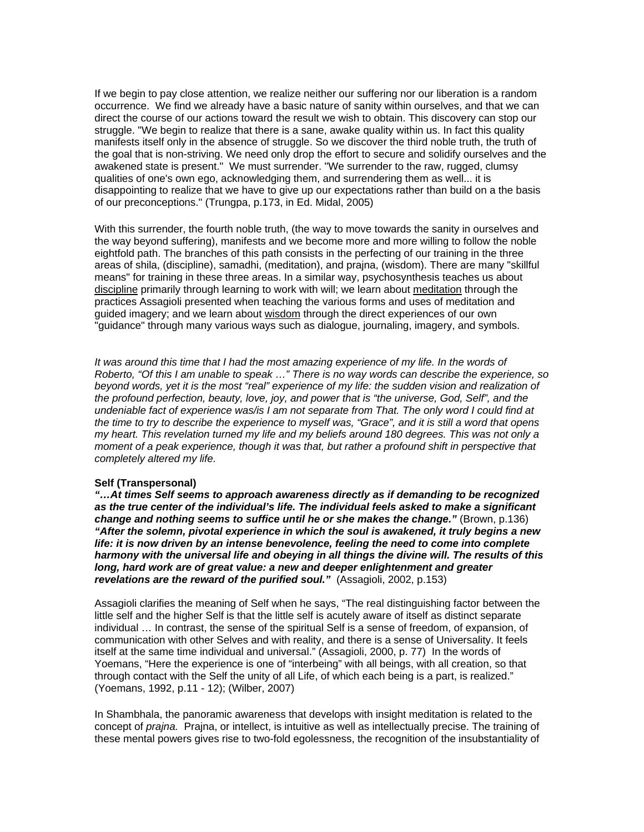If we begin to pay close attention, we realize neither our suffering nor our liberation is a random occurrence. We find we already have a basic nature of sanity within ourselves, and that we can direct the course of our actions toward the result we wish to obtain. This discovery can stop our struggle. "We begin to realize that there is a sane, awake quality within us. In fact this quality manifests itself only in the absence of struggle. So we discover the third noble truth, the truth of the goal that is non-striving. We need only drop the effort to secure and solidify ourselves and the awakened state is present." We must surrender. "We surrender to the raw, rugged, clumsy qualities of one's own ego, acknowledging them, and surrendering them as well... it is disappointing to realize that we have to give up our expectations rather than build on a the basis of our preconceptions." (Trungpa, p.173, in Ed. Midal, 2005)

With this surrender, the fourth noble truth, (the way to move towards the sanity in ourselves and the way beyond suffering), manifests and we become more and more willing to follow the noble eightfold path. The branches of this path consists in the perfecting of our training in the three areas of shila, (discipline), samadhi, (meditation), and prajna, (wisdom). There are many "skillful means" for training in these three areas. In a similar way, psychosynthesis teaches us about discipline primarily through learning to work with will; we learn about meditation through the practices Assagioli presented when teaching the various forms and uses of meditation and guided imagery; and we learn about wisdom through the direct experiences of our own "guidance" through many various ways such as dialogue, journaling, imagery, and symbols.

It was around this time that I had the most amazing experience of my life. In the words of *Roberto, "Of this I am unable to speak …" There is no way words can describe the experience, so*  beyond words, yet it is the most "real" experience of my life: the sudden vision and realization of *the profound perfection, beauty, love, joy, and power that is "the universe, God, Self", and the undeniable fact of experience was/is I am not separate from That. The only word I could find at the time to try to describe the experience to myself was, "Grace", and it is still a word that opens my heart. This revelation turned my life and my beliefs around 180 degrees. This was not only a moment of a peak experience, though it was that, but rather a profound shift in perspective that completely altered my life.* 

#### **Self (Transpersonal)**

*"…At times Self seems to approach awareness directly as if demanding to be recognized as the true center of the individual's life. The individual feels asked to make a significant change and nothing seems to suffice until he or she makes the change."* (Brown, p.136) *"After the solemn, pivotal experience in which the soul is awakened, it truly begins a new life: it is now driven by an intense benevolence, feeling the need to come into complete harmony with the universal life and obeying in all things the divine will. The results of this long, hard work are of great value: a new and deeper enlightenment and greater revelations are the reward of the purified soul."* (Assagioli, 2002, p.153)

Assagioli clarifies the meaning of Self when he says, "The real distinguishing factor between the little self and the higher Self is that the little self is acutely aware of itself as distinct separate individual … In contrast, the sense of the spiritual Self is a sense of freedom, of expansion, of communication with other Selves and with reality, and there is a sense of Universality. It feels itself at the same time individual and universal." (Assagioli, 2000, p. 77) In the words of Yoemans, "Here the experience is one of "interbeing" with all beings, with all creation, so that through contact with the Self the unity of all Life, of which each being is a part, is realized." (Yoemans, 1992, p.11 - 12); (Wilber, 2007)

In Shambhala, the panoramic awareness that develops with insight meditation is related to the concept of *prajna.* Prajna, or intellect, is intuitive as well as intellectually precise. The training of these mental powers gives rise to two-fold egolessness, the recognition of the insubstantiality of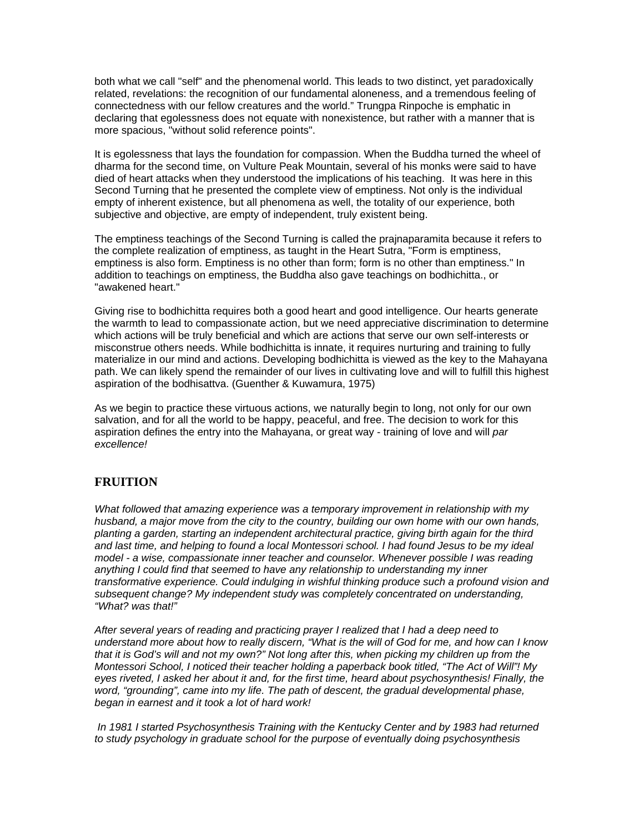both what we call "self" and the phenomenal world. This leads to two distinct, yet paradoxically related, revelations: the recognition of our fundamental aloneness, and a tremendous feeling of connectedness with our fellow creatures and the world." Trungpa Rinpoche is emphatic in declaring that egolessness does not equate with nonexistence, but rather with a manner that is more spacious, "without solid reference points".

It is egolessness that lays the foundation for compassion. When the Buddha turned the wheel of dharma for the second time, on Vulture Peak Mountain, several of his monks were said to have died of heart attacks when they understood the implications of his teaching. It was here in this Second Turning that he presented the complete view of emptiness. Not only is the individual empty of inherent existence, but all phenomena as well, the totality of our experience, both subjective and objective, are empty of independent, truly existent being.

The emptiness teachings of the Second Turning is called the prajnaparamita because it refers to the complete realization of emptiness, as taught in the Heart Sutra, "Form is emptiness, emptiness is also form. Emptiness is no other than form; form is no other than emptiness." In addition to teachings on emptiness, the Buddha also gave teachings on bodhichitta., or "awakened heart."

Giving rise to bodhichitta requires both a good heart and good intelligence. Our hearts generate the warmth to lead to compassionate action, but we need appreciative discrimination to determine which actions will be truly beneficial and which are actions that serve our own self-interests or misconstrue others needs. While bodhichitta is innate, it requires nurturing and training to fully materialize in our mind and actions. Developing bodhichitta is viewed as the key to the Mahayana path. We can likely spend the remainder of our lives in cultivating love and will to fulfill this highest aspiration of the bodhisattva. (Guenther & Kuwamura, 1975)

As we begin to practice these virtuous actions, we naturally begin to long, not only for our own salvation, and for all the world to be happy, peaceful, and free. The decision to work for this aspiration defines the entry into the Mahayana, or great way - training of love and will *par excellence!*

# **FRUITION**

*What followed that amazing experience was a temporary improvement in relationship with my husband, a major move from the city to the country, building our own home with our own hands, planting a garden, starting an independent architectural practice, giving birth again for the third and last time, and helping to found a local Montessori school. I had found Jesus to be my ideal model - a wise, compassionate inner teacher and counselor. Whenever possible I was reading anything I could find that seemed to have any relationship to understanding my inner transformative experience. Could indulging in wishful thinking produce such a profound vision and subsequent change? My independent study was completely concentrated on understanding, "What? was that!"* 

*After several years of reading and practicing prayer I realized that I had a deep need to understand more about how to really discern, "What is the will of God for me, and how can I know that it is God's will and not my own?" Not long after this, when picking my children up from the Montessori School, I noticed their teacher holding a paperback book titled, "The Act of Will"! My eyes riveted, I asked her about it and, for the first time, heard about psychosynthesis! Finally, the word, "grounding", came into my life. The path of descent, the gradual developmental phase, began in earnest and it took a lot of hard work!* 

 *In 1981 I started Psychosynthesis Training with the Kentucky Center and by 1983 had returned to study psychology in graduate school for the purpose of eventually doing psychosynthesis*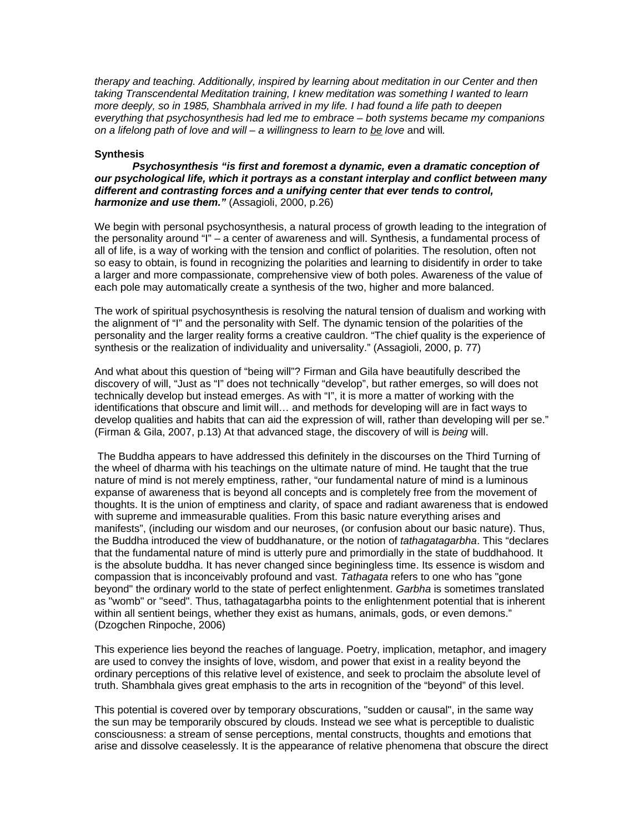*therapy and teaching. Additionally, inspired by learning about meditation in our Center and then taking Transcendental Meditation training, I knew meditation was something I wanted to learn more deeply, so in 1985, Shambhala arrived in my life. I had found a life path to deepen everything that psychosynthesis had led me to embrace – both systems became my companions on a lifelong path of love and will – a willingness to learn to be love* and will*.* 

#### **Synthesis**

 *Psychosynthesis "is first and foremost a dynamic, even a dramatic conception of our psychological life, which it portrays as a constant interplay and conflict between many different and contrasting forces and a unifying center that ever tends to control, harmonize and use them."* (Assagioli, 2000, p.26)

We begin with personal psychosynthesis, a natural process of growth leading to the integration of the personality around "I" – a center of awareness and will. Synthesis, a fundamental process of all of life, is a way of working with the tension and conflict of polarities. The resolution, often not so easy to obtain, is found in recognizing the polarities and learning to disidentify in order to take a larger and more compassionate, comprehensive view of both poles. Awareness of the value of each pole may automatically create a synthesis of the two, higher and more balanced.

The work of spiritual psychosynthesis is resolving the natural tension of dualism and working with the alignment of "I" and the personality with Self. The dynamic tension of the polarities of the personality and the larger reality forms a creative cauldron. "The chief quality is the experience of synthesis or the realization of individuality and universality." (Assagioli, 2000, p. 77)

And what about this question of "being will"? Firman and Gila have beautifully described the discovery of will, "Just as "I" does not technically "develop", but rather emerges, so will does not technically develop but instead emerges. As with "I", it is more a matter of working with the identifications that obscure and limit will… and methods for developing will are in fact ways to develop qualities and habits that can aid the expression of will, rather than developing will per se." (Firman & Gila, 2007, p.13) At that advanced stage, the discovery of will is *being* will.

The Buddha appears to have addressed this definitely in the discourses on the Third Turning of the wheel of dharma with his teachings on the ultimate nature of mind. He taught that the true nature of mind is not merely emptiness, rather, "our fundamental nature of mind is a luminous expanse of awareness that is beyond all concepts and is completely free from the movement of thoughts. It is the union of emptiness and clarity, of space and radiant awareness that is endowed with supreme and immeasurable qualities. From this basic nature everything arises and manifests", (including our wisdom and our neuroses, (or confusion about our basic nature). Thus, the Buddha introduced the view of buddhanature, or the notion of *tathagatagarbha*. This "declares that the fundamental nature of mind is utterly pure and primordially in the state of buddhahood. It is the absolute buddha. It has never changed since beginingless time. Its essence is wisdom and compassion that is inconceivably profound and vast. *Tathagata* refers to one who has "gone beyond" the ordinary world to the state of perfect enlightenment. *Garbha* is sometimes translated as "womb" or "seed". Thus, tathagatagarbha points to the enlightenment potential that is inherent within all sentient beings, whether they exist as humans, animals, gods, or even demons." (Dzogchen Rinpoche, 2006)

This experience lies beyond the reaches of language. Poetry, implication, metaphor, and imagery are used to convey the insights of love, wisdom, and power that exist in a reality beyond the ordinary perceptions of this relative level of existence, and seek to proclaim the absolute level of truth. Shambhala gives great emphasis to the arts in recognition of the "beyond" of this level.

This potential is covered over by temporary obscurations, "sudden or causal", in the same way the sun may be temporarily obscured by clouds. Instead we see what is perceptible to dualistic consciousness: a stream of sense perceptions, mental constructs, thoughts and emotions that arise and dissolve ceaselessly. It is the appearance of relative phenomena that obscure the direct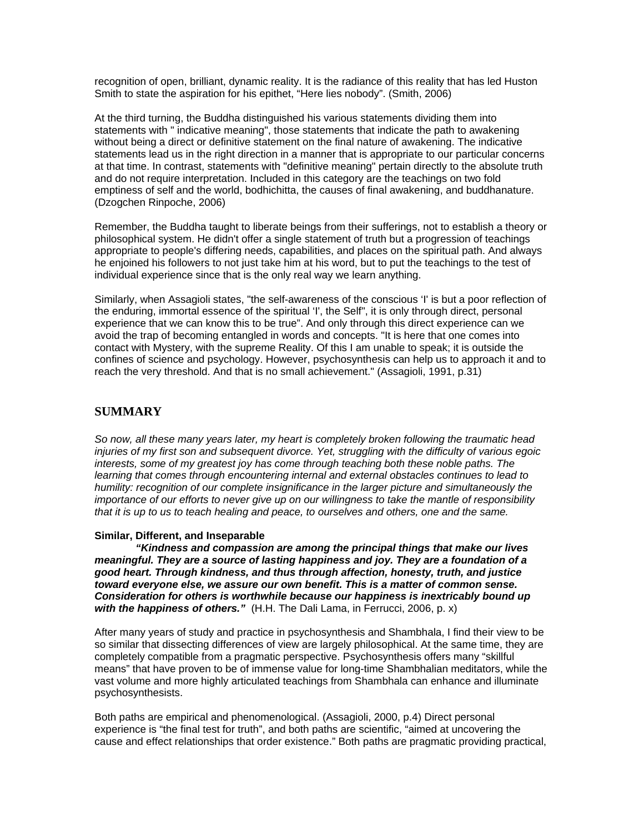recognition of open, brilliant, dynamic reality. It is the radiance of this reality that has led Huston Smith to state the aspiration for his epithet, "Here lies nobody". (Smith, 2006)

At the third turning, the Buddha distinguished his various statements dividing them into statements with " indicative meaning", those statements that indicate the path to awakening without being a direct or definitive statement on the final nature of awakening. The indicative statements lead us in the right direction in a manner that is appropriate to our particular concerns at that time. In contrast, statements with "definitive meaning" pertain directly to the absolute truth and do not require interpretation. Included in this category are the teachings on two fold emptiness of self and the world, bodhichitta, the causes of final awakening, and buddhanature. (Dzogchen Rinpoche, 2006)

Remember, the Buddha taught to liberate beings from their sufferings, not to establish a theory or philosophical system. He didn't offer a single statement of truth but a progression of teachings appropriate to people's differing needs, capabilities, and places on the spiritual path. And always he enjoined his followers to not just take him at his word, but to put the teachings to the test of individual experience since that is the only real way we learn anything.

Similarly, when Assagioli states, "the self-awareness of the conscious 'I' is but a poor reflection of the enduring, immortal essence of the spiritual 'I', the Self", it is only through direct, personal experience that we can know this to be true". And only through this direct experience can we avoid the trap of becoming entangled in words and concepts. "It is here that one comes into contact with Mystery, with the supreme Reality. Of this I am unable to speak; it is outside the confines of science and psychology. However, psychosynthesis can help us to approach it and to reach the very threshold. And that is no small achievement." (Assagioli, 1991, p.31)

## **SUMMARY**

*So now, all these many years later, my heart is completely broken following the traumatic head injuries of my first son and subsequent divorce. Yet, struggling with the difficulty of various egoic interests, some of my greatest joy has come through teaching both these noble paths. The learning that comes through encountering internal and external obstacles continues to lead to humility: recognition of our complete insignificance in the larger picture and simultaneously the importance of our efforts to never give up on our willingness to take the mantle of responsibility that it is up to us to teach healing and peace, to ourselves and others, one and the same.* 

### **Similar, Different, and Inseparable**

*"Kindness and compassion are among the principal things that make our lives meaningful. They are a source of lasting happiness and joy. They are a foundation of a good heart. Through kindness, and thus through affection, honesty, truth, and justice toward everyone else, we assure our own benefit. This is a matter of common sense. Consideration for others is worthwhile because our happiness is inextricably bound up with the happiness of others."* (H.H. The Dali Lama, in Ferrucci, 2006, p. x)

After many years of study and practice in psychosynthesis and Shambhala, I find their view to be so similar that dissecting differences of view are largely philosophical. At the same time, they are completely compatible from a pragmatic perspective. Psychosynthesis offers many "skillful means" that have proven to be of immense value for long-time Shambhalian meditators, while the vast volume and more highly articulated teachings from Shambhala can enhance and illuminate psychosynthesists.

Both paths are empirical and phenomenological. (Assagioli, 2000, p.4) Direct personal experience is "the final test for truth", and both paths are scientific, "aimed at uncovering the cause and effect relationships that order existence." Both paths are pragmatic providing practical,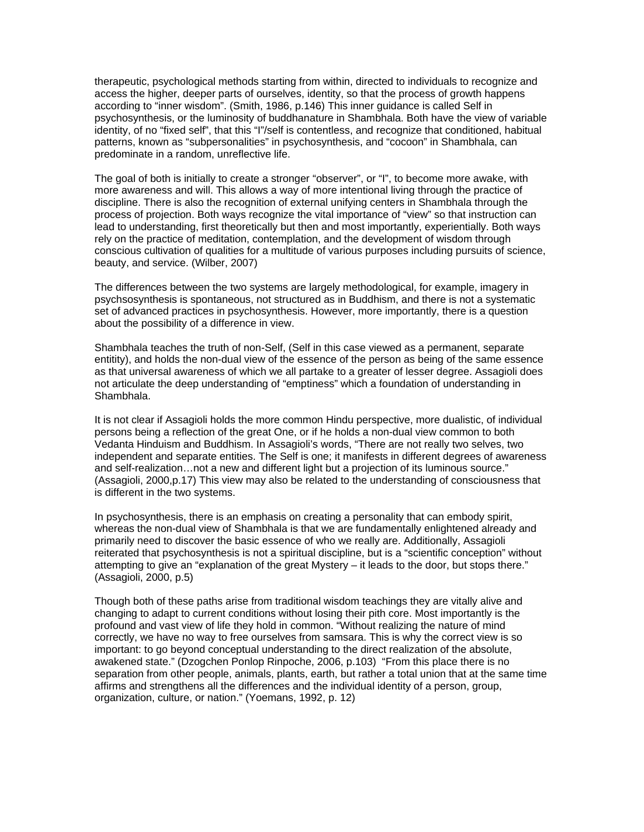therapeutic, psychological methods starting from within, directed to individuals to recognize and access the higher, deeper parts of ourselves, identity, so that the process of growth happens according to "inner wisdom". (Smith, 1986, p.146) This inner guidance is called Self in psychosynthesis, or the luminosity of buddhanature in Shambhala. Both have the view of variable identity, of no "fixed self", that this "I"/self is contentless, and recognize that conditioned, habitual patterns, known as "subpersonalities" in psychosynthesis, and "cocoon" in Shambhala, can predominate in a random, unreflective life.

The goal of both is initially to create a stronger "observer", or "I", to become more awake, with more awareness and will. This allows a way of more intentional living through the practice of discipline. There is also the recognition of external unifying centers in Shambhala through the process of projection. Both ways recognize the vital importance of "view" so that instruction can lead to understanding, first theoretically but then and most importantly, experientially. Both ways rely on the practice of meditation, contemplation, and the development of wisdom through conscious cultivation of qualities for a multitude of various purposes including pursuits of science, beauty, and service. (Wilber, 2007)

The differences between the two systems are largely methodological, for example, imagery in psychsosynthesis is spontaneous, not structured as in Buddhism, and there is not a systematic set of advanced practices in psychosynthesis. However, more importantly, there is a question about the possibility of a difference in view.

Shambhala teaches the truth of non-Self, (Self in this case viewed as a permanent, separate entitity), and holds the non-dual view of the essence of the person as being of the same essence as that universal awareness of which we all partake to a greater of lesser degree. Assagioli does not articulate the deep understanding of "emptiness" which a foundation of understanding in Shambhala.

It is not clear if Assagioli holds the more common Hindu perspective, more dualistic, of individual persons being a reflection of the great One, or if he holds a non-dual view common to both Vedanta Hinduism and Buddhism. In Assagioli's words, "There are not really two selves, two independent and separate entities. The Self is one; it manifests in different degrees of awareness and self-realization…not a new and different light but a projection of its luminous source." (Assagioli, 2000,p.17) This view may also be related to the understanding of consciousness that is different in the two systems.

In psychosynthesis, there is an emphasis on creating a personality that can embody spirit, whereas the non-dual view of Shambhala is that we are fundamentally enlightened already and primarily need to discover the basic essence of who we really are. Additionally, Assagioli reiterated that psychosynthesis is not a spiritual discipline, but is a "scientific conception" without attempting to give an "explanation of the great Mystery – it leads to the door, but stops there." (Assagioli, 2000, p.5)

Though both of these paths arise from traditional wisdom teachings they are vitally alive and changing to adapt to current conditions without losing their pith core. Most importantly is the profound and vast view of life they hold in common. "Without realizing the nature of mind correctly, we have no way to free ourselves from samsara. This is why the correct view is so important: to go beyond conceptual understanding to the direct realization of the absolute, awakened state." (Dzogchen Ponlop Rinpoche, 2006, p.103) "From this place there is no separation from other people, animals, plants, earth, but rather a total union that at the same time affirms and strengthens all the differences and the individual identity of a person, group, organization, culture, or nation." (Yoemans, 1992, p. 12)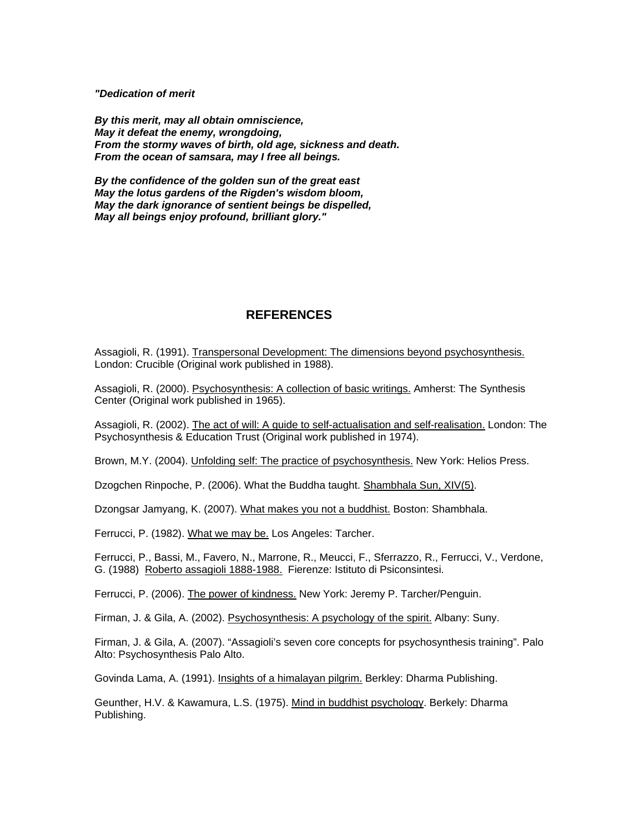*"Dedication of merit* 

*By this merit, may all obtain omniscience, May it defeat the enemy, wrongdoing, From the stormy waves of birth, old age, sickness and death. From the ocean of samsara, may I free all beings.* 

*By the confidence of the golden sun of the great east May the lotus gardens of the Rigden's wisdom bloom, May the dark ignorance of sentient beings be dispelled, May all beings enjoy profound, brilliant glory."* 

# **REFERENCES**

Assagioli, R. (1991). Transpersonal Development: The dimensions beyond psychosynthesis. London: Crucible (Original work published in 1988).

Assagioli, R. (2000). Psychosynthesis: A collection of basic writings. Amherst: The Synthesis Center (Original work published in 1965).

Assagioli, R. (2002). The act of will: A guide to self-actualisation and self-realisation. London: The Psychosynthesis & Education Trust (Original work published in 1974).

Brown, M.Y. (2004). Unfolding self: The practice of psychosynthesis. New York: Helios Press.

Dzogchen Rinpoche, P. (2006). What the Buddha taught. Shambhala Sun, XIV(5).

Dzongsar Jamyang, K. (2007). What makes you not a buddhist. Boston: Shambhala.

Ferrucci, P. (1982). What we may be. Los Angeles: Tarcher.

Ferrucci, P., Bassi, M., Favero, N., Marrone, R., Meucci, F., Sferrazzo, R., Ferrucci, V., Verdone, G. (1988) Roberto assagioli 1888-1988. Fierenze: Istituto di Psiconsintesi.

Ferrucci, P. (2006). The power of kindness. New York: Jeremy P. Tarcher/Penguin.

Firman, J. & Gila, A. (2002). Psychosynthesis: A psychology of the spirit. Albany: Suny.

Firman, J. & Gila, A. (2007). "Assagioli's seven core concepts for psychosynthesis training". Palo Alto: Psychosynthesis Palo Alto.

Govinda Lama, A. (1991). Insights of a himalayan pilgrim. Berkley: Dharma Publishing.

Geunther, H.V. & Kawamura, L.S. (1975). Mind in buddhist psychology. Berkely: Dharma Publishing.